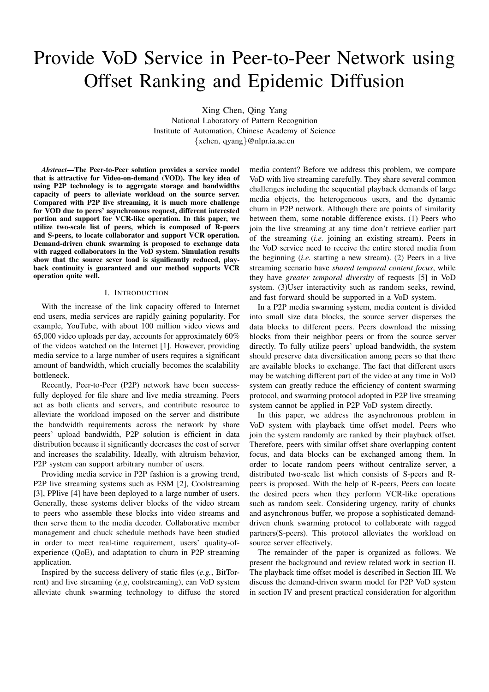# Provide VoD Service in Peer-to-Peer Network using Offset Ranking and Epidemic Diffusion

Xing Chen, Qing Yang

National Laboratory of Pattern Recognition Institute of Automation, Chinese Academy of Science {xchen, qyang}@nlpr.ia.ac.cn

*Abstract*—The Peer-to-Peer solution provides a service model that is attractive for Video-on-demand (VOD). The key idea of using P2P technology is to aggregate storage and bandwidths capacity of peers to alleviate workload on the source server. Compared with P2P live streaming, it is much more challenge for VOD due to peers' asynchronous request, different interested portion and support for VCR-like operation. In this paper, we utilize two-scale list of peers, which is composed of R-peers and S-peers, to locate collaborator and support VCR operation. Demand-driven chunk swarming is proposed to exchange data with ragged collaborators in the VoD system. Simulation results show that the source sever load is significantly reduced, playback continuity is guaranteed and our method supports VCR operation quite well.

### I. INTRODUCTION

With the increase of the link capacity offered to Internet end users, media services are rapidly gaining popularity. For example, YouTube, with about 100 million video views and 65,000 video uploads per day, accounts for approximately 60% of the videos watched on the Internet [1]. However, providing media service to a large number of users requires a significant amount of bandwidth, which crucially becomes the scalability bottleneck.

Recently, Peer-to-Peer (P2P) network have been successfully deployed for file share and live media streaming. Peers act as both clients and servers, and contribute resource to alleviate the workload imposed on the server and distribute the bandwidth requirements across the network by share peers' upload bandwidth, P2P solution is efficient in data distribution because it significantly decreases the cost of server and increases the scalability. Ideally, with altruism behavior, P2P system can support arbitrary number of users.

Providing media service in P2P fashion is a growing trend, P2P live streaming systems such as ESM [2], Coolstreaming [3], PPlive [4] have been deployed to a large number of users. Generally, these systems deliver blocks of the video stream to peers who assemble these blocks into video streams and then serve them to the media decoder. Collaborative member management and chuck schedule methods have been studied in order to meet real-time requirement, users' quality-ofexperience (QoE), and adaptation to churn in P2P streaming application.

Inspired by the success delivery of static files (*e.g.*, BitTorrent) and live streaming (*e.g*, coolstreaming), can VoD system alleviate chunk swarming technology to diffuse the stored

media content? Before we address this problem, we compare VoD with live streaming carefully. They share several common challenges including the sequential playback demands of large media objects, the heterogeneous users, and the dynamic churn in P2P network. Although there are points of similarity between them, some notable difference exists. (1) Peers who join the live streaming at any time don't retrieve earlier part of the streaming (*i.e.* joining an existing stream). Peers in the VoD service need to receive the entire stored media from the beginning (*i.e.* starting a new stream). (2) Peers in a live streaming scenario have *shared temporal content focus*, while they have *greater temporal diversity* of requests [5] in VoD system. (3)User interactivity such as random seeks, rewind, and fast forward should be supported in a VoD system.

In a P2P media swarming system, media content is divided into small size data blocks, the source server disperses the data blocks to different peers. Peers download the missing blocks from their neighbor peers or from the source server directly. To fully utilize peers' upload bandwidth, the system should preserve data diversification among peers so that there are available blocks to exchange. The fact that different users may be watching different part of the video at any time in VoD system can greatly reduce the efficiency of content swarming protocol, and swarming protocol adopted in P2P live streaming system cannot be applied in P2P VoD system directly.

In this paper, we address the asynchronous problem in VoD system with playback time offset model. Peers who join the system randomly are ranked by their playback offset. Therefore, peers with similar offset share overlapping content focus, and data blocks can be exchanged among them. In order to locate random peers without centralize server, a distributed two-scale list which consists of S-peers and Rpeers is proposed. With the help of R-peers, Peers can locate the desired peers when they perform VCR-like operations such as random seek. Considering urgency, rarity of chunks and asynchronous buffer, we propose a sophisticated demanddriven chunk swarming protocol to collaborate with ragged partners(S-peers). This protocol alleviates the workload on source server effectively.

The remainder of the paper is organized as follows. We present the background and review related work in section II. The playback time offset model is described in Section III. We discuss the demand-driven swarm model for P2P VoD system in section IV and present practical consideration for algorithm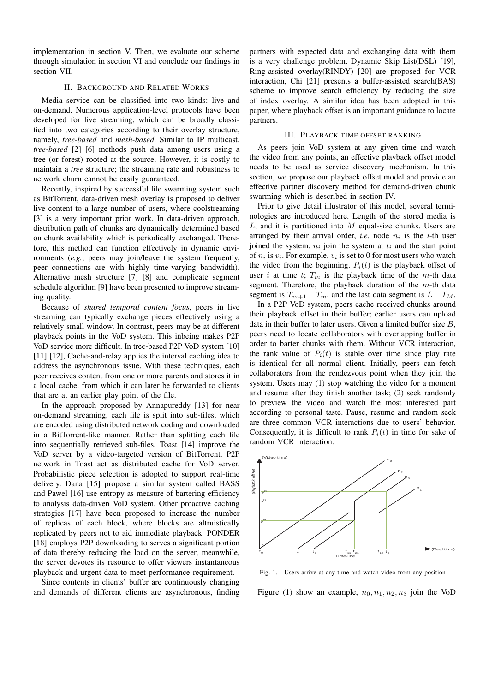implementation in section V. Then, we evaluate our scheme through simulation in section VI and conclude our findings in section VII.

### II. BACKGROUND AND RELATED WORKS

Media service can be classified into two kinds: live and on-demand. Numerous application-level protocols have been developed for live streaming, which can be broadly classified into two categories according to their overlay structure, namely, *tree-based* and *mesh-based*. Similar to IP multicast, *tree-based* [2] [6] methods push data among users using a tree (or forest) rooted at the source. However, it is costly to maintain a *tree* structure; the streaming rate and robustness to network churn cannot be easily guaranteed.

Recently, inspired by successful file swarming system such as BitTorrent, data-driven mesh overlay is proposed to deliver live content to a large number of users, where coolstreaming [3] is a very important prior work. In data-driven approach, distribution path of chunks are dynamically determined based on chunk availability which is periodically exchanged. Therefore, this method can function effectively in dynamic environments (*e.g.*, peers may join/leave the system frequently, peer connections are with highly time-varying bandwidth). Alternative mesh structure [7] [8] and complicate segment schedule algorithm [9] have been presented to improve streaming quality.

Because of *shared temporal content focus*, peers in live streaming can typically exchange pieces effectively using a relatively small window. In contrast, peers may be at different playback points in the VoD system. This inbeing makes P2P VoD service more difficult. In tree-based P2P VoD system [10] [11] [12], Cache-and-relay applies the interval caching idea to address the asynchronous issue. With these techniques, each peer receives content from one or more parents and stores it in a local cache, from which it can later be forwarded to clients that are at an earlier play point of the file.

In the approach proposed by Annapureddy [13] for near on-demand streaming, each file is split into sub-files, which are encoded using distributed network coding and downloaded in a BitTorrent-like manner. Rather than splitting each file into sequentially retrieved sub-files, Toast [14] improve the VoD server by a video-targeted version of BitTorrent. P2P network in Toast act as distributed cache for VoD server. Probabilistic piece selection is adopted to support real-time delivery. Dana [15] propose a similar system called BASS and Pawel [16] use entropy as measure of bartering efficiency to analysis data-driven VoD system. Other proactive caching strategies [17] have been proposed to increase the number of replicas of each block, where blocks are altruistically replicated by peers not to aid immediate playback. PONDER [18] employs P2P downloading to serves a significant portion of data thereby reducing the load on the server, meanwhile, the server devotes its resource to offer viewers instantaneous playback and urgent data to meet performance requirement.

Since contents in clients' buffer are continuously changing and demands of different clients are asynchronous, finding

partners with expected data and exchanging data with them is a very challenge problem. Dynamic Skip List(DSL) [19], Ring-assisted overlay(RINDY) [20] are proposed for VCR interaction, Chi [21] presents a buffer-assisted search(BAS) scheme to improve search efficiency by reducing the size of index overlay. A similar idea has been adopted in this paper, where playback offset is an important guidance to locate partners.

#### III. PLAYBACK TIME OFFSET RANKING

As peers join VoD system at any given time and watch the video from any points, an effective playback offset model needs to be used as service discovery mechanism. In this section, we propose our playback offset model and provide an effective partner discovery method for demand-driven chunk swarming which is described in section IV.

Prior to give detail illustrator of this model, several terminologies are introduced here. Length of the stored media is  $L$ , and it is partitioned into  $M$  equal-size chunks. Users are arranged by their arrival order, *i.e.* node  $n_i$  is the *i*-th user joined the system.  $n_i$  join the system at  $t_i$  and the start point of  $n_i$  is  $v_i$ . For example,  $v_i$  is set to 0 for most users who watch the video from the beginning.  $P_i(t)$  is the playback offset of user i at time t;  $T_m$  is the playback time of the m-th data segment. Therefore, the playback duration of the  $m$ -th data segment is  $T_{m+1} - T_m$ , and the last data segment is  $L - T_M$ .

In a P2P VoD system, peers cache received chunks around their playback offset in their buffer; earlier users can upload data in their buffer to later users. Given a limited buffer size  $B$ , peers need to locate collaborators with overlapping buffer in order to barter chunks with them. Without VCR interaction, the rank value of  $P_i(t)$  is stable over time since play rate is identical for all normal client. Initially, peers can fetch collaborators from the rendezvous point when they join the system. Users may (1) stop watching the video for a moment and resume after they finish another task; (2) seek randomly to preview the video and watch the most interested part according to personal taste. Pause, resume and random seek are three common VCR interactions due to users' behavior. Consequently, it is difficult to rank  $P_i(t)$  in time for sake of random VCR interaction.



Fig. 1. Users arrive at any time and watch video from any position

Figure (1) show an example,  $n_0$ ,  $n_1$ ,  $n_2$ ,  $n_3$  join the VoD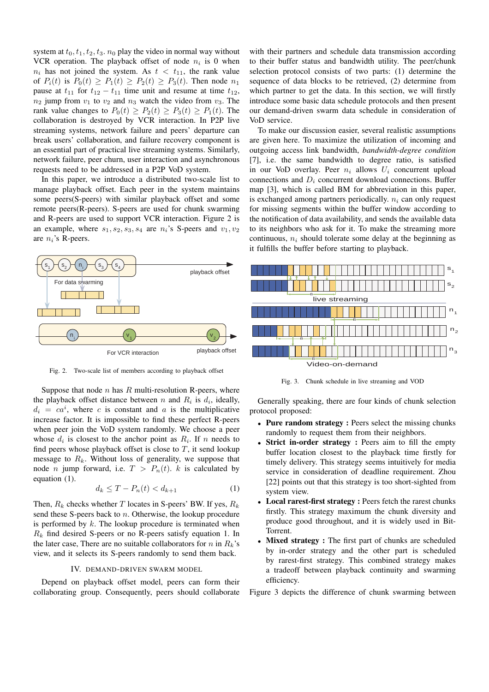system at  $t_0, t_1, t_2, t_3, n_0$  play the video in normal way without VCR operation. The playback offset of node  $n_i$  is 0 when  $n_i$  has not joined the system. As  $t < t_{11}$ , the rank value of  $P_i(t)$  is  $P_0(t) \ge P_1(t) \ge P_2(t) \ge P_3(t)$ . Then node  $n_1$ pause at  $t_{11}$  for  $t_{12} - t_{11}$  time unit and resume at time  $t_{12}$ ,  $n_2$  jump from  $v_1$  to  $v_2$  and  $n_3$  watch the video from  $v_3$ . The rank value changes to  $P_0(t) \ge P_2(t) \ge P_3(t) \ge P_1(t)$ . The collaboration is destroyed by VCR interaction. In P2P live streaming systems, network failure and peers' departure can break users' collaboration, and failure recovery component is an essential part of practical live streaming systems. Similarly, network failure, peer churn, user interaction and asynchronous requests need to be addressed in a P2P VoD system.

In this paper, we introduce a distributed two-scale list to manage playback offset. Each peer in the system maintains some peers(S-peers) with similar playback offset and some remote peers(R-peers). S-peers are used for chunk swarming and R-peers are used to support VCR interaction. Figure 2 is an example, where  $s_1, s_2, s_3, s_4$  are  $n_i$ 's S-peers and  $v_1, v_2$ are  $n_i$ 's R-peers.



Fig. 2. Two-scale list of members according to playback offset

Suppose that node  $n$  has  $R$  multi-resolution R-peers, where the playback offset distance between n and  $R_i$  is  $d_i$ , ideally,  $d_i = ca^i$ , where c is constant and a is the multiplicative increase factor. It is impossible to find these perfect R-peers when peer join the VoD system randomly. We choose a peer whose  $d_i$  is closest to the anchor point as  $R_i$ . If n needs to find peers whose playback offset is close to  $T$ , it send lookup message to  $R_k$ . Without loss of generality, we suppose that node *n* jump forward, i.e.  $T > P_n(t)$ . *k* is calculated by equation (1).

$$
d_k \le T - P_n(t) < d_{k+1} \tag{1}
$$

Then,  $R_k$  checks whether T locates in S-peers' BW. If yes,  $R_k$ send these S-peers back to  $n$ . Otherwise, the lookup procedure is performed by  $k$ . The lookup procedure is terminated when  $R_k$  find desired S-peers or no R-peers satisfy equation 1. In the later case, There are no suitable collaborators for n in  $R_k$ 's view, and it selects its S-peers randomly to send them back.

#### IV. DEMAND-DRIVEN SWARM MODEL

Depend on playback offset model, peers can form their collaborating group. Consequently, peers should collaborate

with their partners and schedule data transmission according to their buffer status and bandwidth utility. The peer/chunk selection protocol consists of two parts: (1) determine the sequence of data blocks to be retrieved, (2) determine from which partner to get the data. In this section, we will firstly introduce some basic data schedule protocols and then present our demand-driven swarm data schedule in consideration of VoD service.

To make our discussion easier, several realistic assumptions are given here. To maximize the utilization of incoming and outgoing access link bandwidth, *bandwidth-degree condition* [7], i.e. the same bandwidth to degree ratio, is satisfied in our VoD overlay. Peer  $n_i$  allows  $U_i$  concurrent upload connections and  $D_i$  concurrent download connections. Buffer map [3], which is called BM for abbreviation in this paper, is exchanged among partners periodically.  $n_i$  can only request for missing segments within the buffer window according to the notification of data availability, and sends the available data to its neighbors who ask for it. To make the streaming more continuous,  $n_i$  should tolerate some delay at the beginning as it fulfills the buffer before starting to playback.



Fig. 3. Chunk schedule in live streaming and VOD

Generally speaking, there are four kinds of chunk selection protocol proposed:

- Pure random strategy : Peers select the missing chunks randomly to request them from their neighbors.
- Strict in-order strategy : Peers aim to fill the empty buffer location closest to the playback time firstly for timely delivery. This strategy seems intuitively for media service in consideration of deadline requirement. Zhou [22] points out that this strategy is too short-sighted from system view.
- Local rarest-first strategy : Peers fetch the rarest chunks firstly. This strategy maximum the chunk diversity and produce good throughout, and it is widely used in Bit-Torrent.
- Mixed strategy : The first part of chunks are scheduled by in-order strategy and the other part is scheduled by rarest-first strategy. This combined strategy makes a tradeoff between playback continuity and swarming efficiency.

Figure 3 depicts the difference of chunk swarming between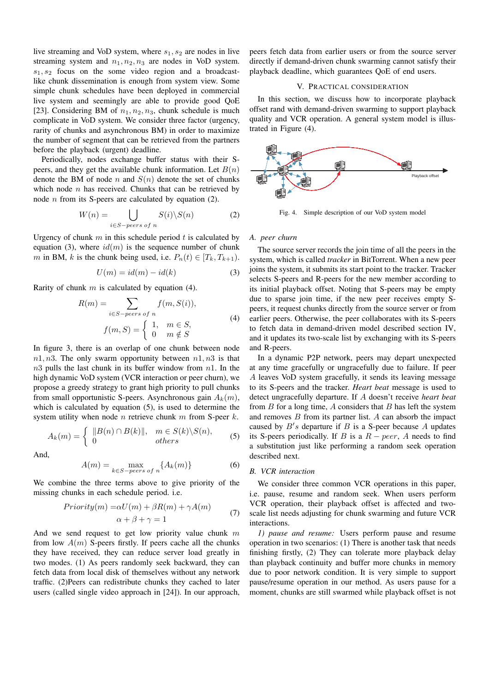live streaming and VoD system, where  $s_1, s_2$  are nodes in live streaming system and  $n_1, n_2, n_3$  are nodes in VoD system.  $s_1, s_2$  focus on the some video region and a broadcastlike chunk dissemination is enough from system view. Some simple chunk schedules have been deployed in commercial live system and seemingly are able to provide good QoE [23]. Considering BM of  $n_1, n_2, n_3$ , chunk schedule is much complicate in VoD system. We consider three factor (urgency, rarity of chunks and asynchronous BM) in order to maximize the number of segment that can be retrieved from the partners before the playback (urgent) deadline.

Periodically, nodes exchange buffer status with their Speers, and they get the available chunk information. Let  $B(n)$ denote the BM of node n and  $S(n)$  denote the set of chunks which node  $n$  has received. Chunks that can be retrieved by node  $n$  from its S-peers are calculated by equation (2).

$$
W(n) = \bigcup_{i \in S - peers \text{ of } n} S(i) \backslash S(n) \tag{2}
$$

Urgency of chunk  $m$  in this schedule period  $t$  is calculated by equation (3), where  $id(m)$  is the sequence number of chunk m in BM, k is the chunk being used, i.e.  $P_n(t) \in [T_k, T_{k+1})$ .

$$
U(m) = id(m) - id(k)
$$
 (3)

Rarity of chunk  $m$  is calculated by equation (4).

$$
R(m) = \sum_{i \in S - peers \text{ of } n} f(m, S(i)),
$$

$$
f(m, S) = \begin{cases} 1, & m \in S, \\ 0 & m \notin S \end{cases}
$$
(4)

In figure 3, there is an overlap of one chunk between node  $n1, n3$ . The only swarm opportunity between  $n1, n3$  is that  $n3$  pulls the last chunk in its buffer window from  $n1$ . In the high dynamic VoD system (VCR interaction or peer churn), we propose a greedy strategy to grant high priority to pull chunks from small opportunistic S-peers. Asynchronous gain  $A_k(m)$ , which is calculated by equation (5), is used to determine the system utility when node *n* retrieve chunk  $m$  from S-peer  $k$ .

$$
A_k(m) = \begin{cases} ||B(n) \cap B(k)||, & m \in S(k) \backslash S(n), \\ 0 & others \end{cases}
$$
(5)

And,

$$
A(m) = \max_{k \in S - peers \text{ of } n} \{A_k(m)\}
$$
 (6)

We combine the three terms above to give priority of the missing chunks in each schedule period. i.e.

$$
Priority(m) = \alpha U(m) + \beta R(m) + \gamma A(m)
$$
  
\n
$$
\alpha + \beta + \gamma = 1
$$
\n(7)

And we send request to get low priority value chunk  $m$ from low  $A(m)$  S-peers firstly. If peers cache all the chunks they have received, they can reduce server load greatly in two modes. (1) As peers randomly seek backward, they can fetch data from local disk of themselves without any network traffic. (2)Peers can redistribute chunks they cached to later users (called single video approach in [24]). In our approach,

peers fetch data from earlier users or from the source server directly if demand-driven chunk swarming cannot satisfy their playback deadline, which guarantees QoE of end users.

#### V. PRACTICAL CONSIDERATION

In this section, we discuss how to incorporate playback offset rand with demand-driven swarming to support playback quality and VCR operation. A general system model is illustrated in Figure (4).

![](_page_3_Figure_17.jpeg)

Fig. 4. Simple description of our VoD system model

#### *A. peer churn*

The source server records the join time of all the peers in the system, which is called *tracker* in BitTorrent. When a new peer joins the system, it submits its start point to the tracker. Tracker selects S-peers and R-peers for the new member according to its initial playback offset. Noting that S-peers may be empty due to sparse join time, if the new peer receives empty Speers, it request chunks directly from the source server or from earlier peers. Otherwise, the peer collaborates with its S-peers to fetch data in demand-driven model described section IV, and it updates its two-scale list by exchanging with its S-peers and R-peers.

In a dynamic P2P network, peers may depart unexpected at any time gracefully or ungracefully due to failure. If peer A leaves VoD system gracefully, it sends its leaving message to its S-peers and the tracker. *Heart beat* message is used to detect ungracefully departure. If A doesn't receive *heart beat* from  $B$  for a long time,  $A$  considers that  $B$  has left the system and removes  $B$  from its partner list.  $A$  can absorb the impact caused by  $B's$  departure if  $B$  is a S-peer because  $A$  updates its S-peers periodically. If B is a  $R - peer$ , A needs to find a substitution just like performing a random seek operation described next.

#### *B. VCR interaction*

We consider three common VCR operations in this paper, i.e. pause, resume and random seek. When users perform VCR operation, their playback offset is affected and twoscale list needs adjusting for chunk swarming and future VCR interactions.

*1) pause and resume:* Users perform pause and resume operation in two scenarios: (1) There is another task that needs finishing firstly, (2) They can tolerate more playback delay than playback continuity and buffer more chunks in memory due to poor network condition. It is very simple to support pause/resume operation in our method. As users pause for a moment, chunks are still swarmed while playback offset is not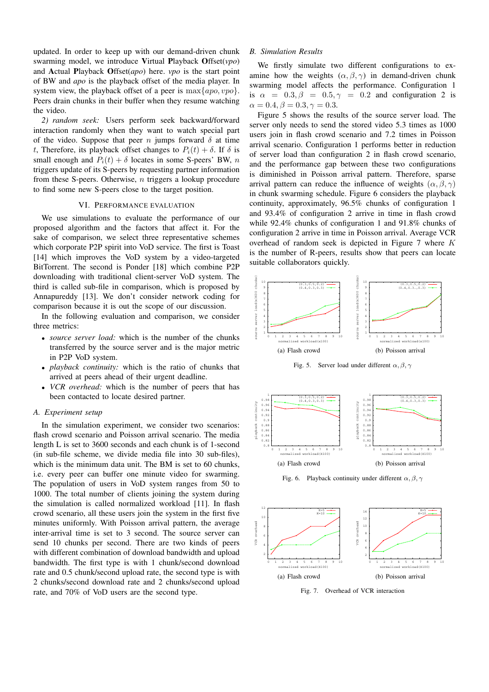updated. In order to keep up with our demand-driven chunk swarming model, we introduce Virtual Playback Offset(*vpo*) and Actual Playback Offset(*apo*) here. *vpo* is the start point of BW and *apo* is the playback offset of the media player. In system view, the playback offset of a peer is  $\max\{apo, vpo\}$ . Peers drain chunks in their buffer when they resume watching the video.

*2) random seek:* Users perform seek backward/forward interaction randomly when they want to watch special part of the video. Suppose that peer n jumps forward  $\delta$  at time t, Therefore, its playback offset changes to  $P_i(t) + \delta$ . If  $\delta$  is small enough and  $P_i(t) + \delta$  locates in some S-peers' BW, n triggers update of its S-peers by requesting partner information from these S-peers. Otherwise, n triggers a lookup procedure to find some new S-peers close to the target position.

### VI. PERFORMANCE EVALUATION

We use simulations to evaluate the performance of our proposed algorithm and the factors that affect it. For the sake of comparison, we select three representative schemes which corporate P2P spirit into VoD service. The first is Toast [14] which improves the VoD system by a video-targeted BitTorrent. The second is Ponder [18] which combine P2P downloading with traditional client-server VoD system. The third is called sub-file in comparison, which is proposed by Annapureddy [13]. We don't consider network coding for comparison because it is out the scope of our discussion.

In the following evaluation and comparison, we consider three metrics:

- *source server load:* which is the number of the chunks transferred by the source server and is the major metric in P2P VoD system.
- *playback continuity:* which is the ratio of chunks that arrived at peers ahead of their urgent deadline.
- *VCR overhead:* which is the number of peers that has been contacted to locate desired partner.

#### *A. Experiment setup*

In the simulation experiment, we consider two scenarios: flash crowd scenario and Poisson arrival scenario. The media length L is set to 3600 seconds and each chunk is of 1-second (in sub-file scheme, we divide media file into 30 sub-files), which is the minimum data unit. The BM is set to 60 chunks, i.e. every peer can buffer one minute video for swarming. The population of users in VoD system ranges from 50 to 1000. The total number of clients joining the system during the simulation is called normalized workload [11]. In flash crowd scenario, all these users join the system in the first five minutes uniformly. With Poisson arrival pattern, the average inter-arrival time is set to 3 second. The source server can send 10 chunks per second. There are two kinds of peers with different combination of download bandwidth and upload bandwidth. The first type is with 1 chunk/second download rate and 0.5 chunk/second upload rate, the second type is with 2 chunks/second download rate and 2 chunks/second upload rate, and 70% of VoD users are the second type.

### *B. Simulation Results*

We firstly simulate two different configurations to examine how the weights  $(\alpha, \beta, \gamma)$  in demand-driven chunk swarming model affects the performance. Configuration 1 is  $\alpha = 0.3, \beta = 0.5, \gamma = 0.2$  and configuration 2 is  $\alpha = 0.4, \beta = 0.3, \gamma = 0.3.$ 

Figure 5 shows the results of the source server load. The server only needs to send the stored video 5.3 times as 1000 users join in flash crowd scenario and 7.2 times in Poisson arrival scenario. Configuration 1 performs better in reduction of server load than configuration 2 in flash crowd scenario, and the performance gap between these two configurations is diminished in Poisson arrival pattern. Therefore, sparse arrival pattern can reduce the influence of weights  $(\alpha, \beta, \gamma)$ in chunk swarming schedule. Figure 6 considers the playback continuity, approximately, 96.5% chunks of configuration 1 and 93.4% of configuration 2 arrive in time in flash crowd while 92.4% chunks of configuration 1 and 91.8% chunks of configuration 2 arrive in time in Poisson arrival. Average VCR overhead of random seek is depicted in Figure 7 where K is the number of R-peers, results show that peers can locate suitable collaborators quickly.

![](_page_4_Figure_13.jpeg)

![](_page_4_Figure_14.jpeg)

![](_page_4_Figure_15.jpeg)

Fig. 6. Playback continuity under different  $\alpha, \beta, \gamma$ 

![](_page_4_Figure_17.jpeg)

Fig. 7. Overhead of VCR interaction